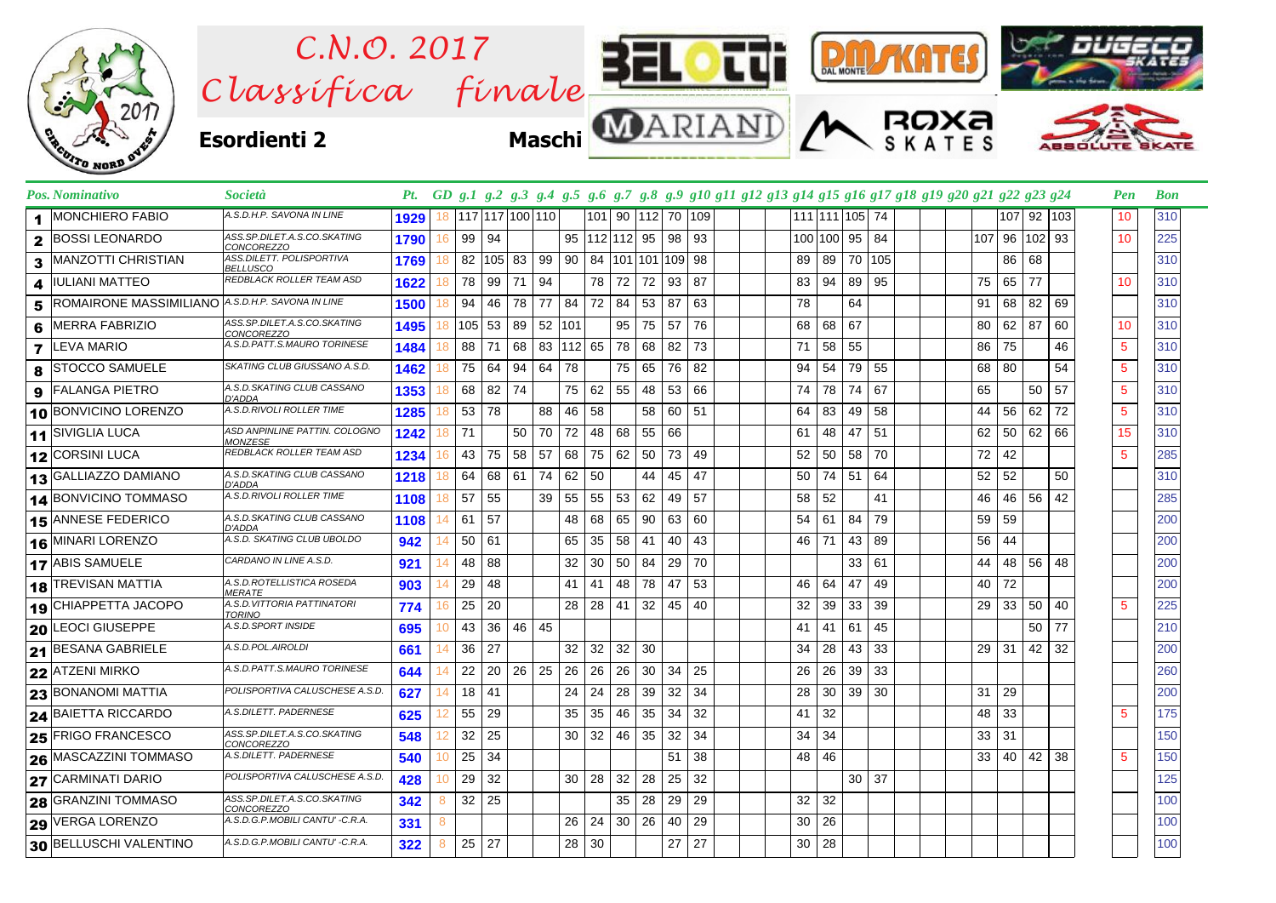

|              | Pos. Nominativo                                  | Società                                          |      |    |                 |                  |              |           |                     |    |              |                           |    |    |  |    |    |                 |                |     | Pt. GD g.1 g.2 g.3 g.4 g.5 g.6 g.7 g.8 g.9 g10 g11 g12 g13 g14 g15 g16 g17 g18 g19 g20 g21 g22 g23 g24 |    |    |                 |               | Pen             | <b>Bon</b> |
|--------------|--------------------------------------------------|--------------------------------------------------|------|----|-----------------|------------------|--------------|-----------|---------------------|----|--------------|---------------------------|----|----|--|----|----|-----------------|----------------|-----|--------------------------------------------------------------------------------------------------------|----|----|-----------------|---------------|-----------------|------------|
| 1.           | <b>MONCHIERO FABIO</b>                           | A.S.D.H.P. SAVONA IN LINE                        | 1929 | 18 | 117 117 100 110 |                  |              |           |                     |    |              | 101 90 112 70 109         |    |    |  |    |    |                 | 111 111 105 74 |     |                                                                                                        |    |    |                 | 107 92 103    | 10              | 310        |
| $\mathbf{2}$ | <b>BOSSI LEONARDO</b>                            | ASS.SP.DILET.A.S.CO.SKATING<br>CONCOREZZO        | 1790 | 16 | 99   94         |                  |              |           | 95   112   112   95 |    |              |                           | 98 | 93 |  |    |    | 100 100 95      |                | 84  |                                                                                                        |    |    |                 | 107 96 102 93 | 10              | 225        |
| 3            | <b>MANZOTTI CHRISTIAN</b>                        | ASS.DILETT. POLISPORTIVA<br>BELLUSCO             | 1769 | 18 | 82              | 105 <sub>1</sub> | 83           | 99        | 90                  |    |              | 84   101   101   109   98 |    |    |  |    | 89 | 89              | 70             | 105 |                                                                                                        |    |    | 86 68           |               |                 | 310        |
| 4            | <b>IULIANI MATTEO</b>                            | REDBLACK ROLLER TEAM ASD                         | 1622 | 18 | 78              | 99               | 71           | - 94      |                     | 78 | 72           | 72                        | 93 | 87 |  |    | 83 | 94              | 89             | 95  |                                                                                                        | 75 | 65 | 77              |               | 10              | 310        |
| 5            | ROMAIRONE MASSIMILIANO A.S.D.H.P. SAVONA IN LINE |                                                  | 1500 | 18 | 94              | 46               | 78           | 77 I      | 84                  | 72 | 84           | 53                        | 87 | 63 |  |    | 78 |                 | 64             |     |                                                                                                        | 91 | 68 | 82              | 69            |                 | 310        |
| 6            | <b>MERRA FABRIZIO</b>                            | ASS.SP.DILET.A.S.CO.SKATING<br>CONCOREZZO        | 1495 | 18 | $105$ 53        |                  |              | 89 52 101 |                     |    |              | 95 75                     | 57 | 76 |  |    | 68 | 68 67           |                |     |                                                                                                        | 80 | 62 | 87              | 60            | 10              | 310        |
| 7            | LEVA MARIO                                       | A.S.D.PATT.S.MAURO TORINESE                      | 1484 | 18 | 88              | 71               | 68           |           | 83 112 65           |    | 78           | 68                        | 82 | 73 |  | 71 |    | 58              | 55             |     |                                                                                                        | 86 | 75 |                 | 46            | $5\phantom{.0}$ | 310        |
| 8            | <b>STOCCO SAMUELE</b>                            | SKATING CLUB GIUSSANO A.S.D.                     | 1462 | 18 | 75              | 64               | 94           | 64 78     |                     |    | 75           | 65                        | 76 | 82 |  | 94 |    | 54              | 79             | 55  |                                                                                                        | 68 | 80 |                 | 54            | $5\phantom{.0}$ | 310        |
|              | <b>9</b> FALANGA PIETRO                          | A.S.D.SKATING CLUB CASSANO<br>D'ADDA             | 1353 | 18 | 68              | 82               | 74           |           | 75 62               |    | $55 \mid 48$ |                           | 53 | 66 |  | 74 |    | 78              | 74             | 67  |                                                                                                        | 65 |    | 50              | 57            | $5\phantom{.0}$ | 310        |
|              | 10 BONVICINO LORENZO                             | A.S.D.RIVOLI ROLLER TIME                         | 1285 | 18 | 53              | 78               |              | 88        | 46                  | 58 |              | 58                        | 60 | 51 |  | 64 |    | 83              | 49             | 58  |                                                                                                        | 44 | 56 | 62              | 72            | 5               | 310        |
|              | 11 SIVIGLIA LUCA                                 | ASD ANPINLINE PATTIN. COLOGNO<br><b>MONZESE</b>  | 1242 | 18 | 71              |                  | 50           | 70 72     |                     | 48 | 68           | 55                        | 66 |    |  | 61 |    | 48              | 47             | 51  |                                                                                                        | 62 | 50 |                 | 62 66         | 15              | 310        |
|              | 12 CORSINI LUCA                                  | REDBLACK ROLLER TEAM ASD                         | 1234 | 16 | 43              | 75               | 58           | 57        | 68                  | 75 | 62           | 50                        | 73 | 49 |  | 52 |    | 50              | 58             | 70  |                                                                                                        | 72 | 42 |                 |               | 5               | 285        |
|              | 13 GALLIAZZO DAMIANO                             | A.S.D.SKATING CLUB CASSANO<br>D'ADDA             | 1218 | 18 | 64              | 68               | 61           | 74        | 62                  | 50 |              | 44                        | 45 | 47 |  |    | 50 | 74 51           |                | 64  |                                                                                                        | 52 | 52 |                 | 50            |                 | 310        |
|              | 14 BONVICINO TOMMASO                             | A.S.D.RIVOLI ROLLER TIME                         | 1108 | 18 | 57              | 55               |              | 39 I      | 55                  | 55 | 53 62        |                           | 49 | 57 |  |    | 58 | 52              |                | 41  |                                                                                                        | 46 |    | 46 56           | 42            |                 | 285        |
|              | 15 ANNESE FEDERICO                               | A.S.D.SKATING CLUB CASSANO<br>D'ADDA             | 1108 | 14 | 61              | 57               |              |           | 48                  | 68 | 65   90      |                           | 63 | 60 |  |    | 54 | 61              | 84             | 79  |                                                                                                        | 59 | 59 |                 |               |                 | 200        |
|              | 16 MINARI LORENZO                                | A.S.D. SKATING CLUB UBOLDO                       | 942  |    | 50              | 61               |              |           | 65                  | 35 | 58           | -41                       | 40 | 43 |  |    | 46 | 71              | 43             | 89  |                                                                                                        | 56 | 44 |                 |               |                 | 200        |
|              | 17 ABIS SAMUELE                                  | CARDANO IN LINE A.S.D.                           | 921  | 14 | 48              | 88               |              |           | 32                  | 30 | 50           | -84                       | 29 | 70 |  |    |    |                 | 33             | 61  |                                                                                                        | 44 | 48 | 56              | 48            |                 | 200        |
|              | <b>18 TREVISAN MATTIA</b>                        | A.S.D.ROTELLISTICA ROSEDA<br><i>MERATE</i>       | 903  | 14 | 29              | 48               |              |           | 41                  | 41 | 48           | 78                        | 47 | 53 |  |    | 46 | 64              | 47             | 49  |                                                                                                        | 40 | 72 |                 |               |                 | 200        |
|              | 19 CHIAPPETTA JACOPO                             | A.S.D. VITTORIA PATTINATORI<br><b>TORINO</b>     | 774  | 16 | 25              | 20               |              |           | 28                  | 28 | 41           | 32                        | 45 | 40 |  | 32 |    | 39              | 33             | 39  |                                                                                                        | 29 | 33 | 50              | 40            | 5               | 225        |
|              | 20 LEOCI GIUSEPPE                                | A.S.D.SPORT INSIDE                               | 695  | 10 | 43              | 36               | 46 45        |           |                     |    |              |                           |    |    |  | 41 |    | 41              | 61             | 45  |                                                                                                        |    |    | 50 <sup>°</sup> | 77            |                 | 210        |
|              | 21 BESANA GABRIELE                               | A.S.D.POL.AIROLDI                                | 661  | 14 | 36              | 27               |              |           | 32                  | 32 | 32           | 30                        |    |    |  | 34 |    | 28              | 43             | 33  |                                                                                                        | 29 | 31 | 42              | 32            |                 | 200        |
|              | 22 ATZENI MIRKO                                  | A.S.D.PATT.S.MAURO TORINESE                      | 644  | 14 | 22              | 20               | $26 \mid 25$ |           | 26                  | 26 | 26           | 30                        | 34 | 25 |  |    | 26 | 26              | 39             | 33  |                                                                                                        |    |    |                 |               |                 | 260        |
|              | <b>23 BONANOMI MATTIA</b>                        | POLISPORTIVA CALUSCHESE A.S.D.                   | 627  | 14 | 18              | 41               |              |           | 24                  | 24 | 28 39        |                           | 32 | 34 |  |    | 28 | 30 <sup>1</sup> | 39             | 30  |                                                                                                        | 31 | 29 |                 |               |                 | 200        |
|              | 24 BAIETTA RICCARDO                              | A.S.DILETT. PADERNESE                            | 625  | 12 | 55              | 29               |              |           | 35                  | 35 | 46 35        |                           | 34 | 32 |  |    | 41 | 32              |                |     |                                                                                                        | 48 | 33 |                 |               | 5               | 175        |
|              | 25 FRIGO FRANCESCO                               | ASS.SP.DILET.A.S.CO.SKATING<br><i>CONCOREZZO</i> | 548  | 12 | 32              | 25               |              |           | 30 <sup>1</sup>     | 32 | 46 35        |                           | 32 | 34 |  |    | 34 | 34              |                |     |                                                                                                        | 33 | 31 |                 |               |                 | 150        |
|              | 26 MASCAZZINI TOMMASO                            | A.S.DILETT. PADERNESE                            | 540  | 10 | 25              | 34               |              |           |                     |    |              |                           | 51 | 38 |  |    | 48 | 46              |                |     |                                                                                                        | 33 | 40 | 42              | 38            | 5               | 150        |
|              | 27 CARMINATI DARIO                               | POLISPORTIVA CALUSCHESE A.S.D.                   | 428  | 10 | 29              | 32               |              |           | 30                  | 28 | 32           | 28                        | 25 | 32 |  |    |    |                 | $30$ 37        |     |                                                                                                        |    |    |                 |               |                 | 125        |
|              | <b>28 GRANZINI TOMMASO</b>                       | ASS.SP.DILET.A.S.CO.SKATING<br>CONCOREZZO        | 342  | 8  | 32              | 25               |              |           |                     |    | 35           | 28                        | 29 | 29 |  |    | 32 | 32              |                |     |                                                                                                        |    |    |                 |               |                 | 100        |
|              | 29 VERGA LORENZO                                 | A.S.D.G.P.MOBILI CANTU' -C.R.A.                  | 331  | 8  |                 |                  |              |           | 26 <sup>1</sup>     | 24 | 30 26        |                           | 40 | 29 |  |    | 30 | 26              |                |     |                                                                                                        |    |    |                 |               |                 | 100        |
|              | 30 BELLUSCHI VALENTINO                           | A.S.D.G.P.MOBILI CANTU' -C.R.A.                  | 322  | 8  | 25              | 27               |              |           | 28                  | 30 |              |                           | 27 | 27 |  |    | 30 | 28              |                |     |                                                                                                        |    |    |                 |               |                 | 100        |